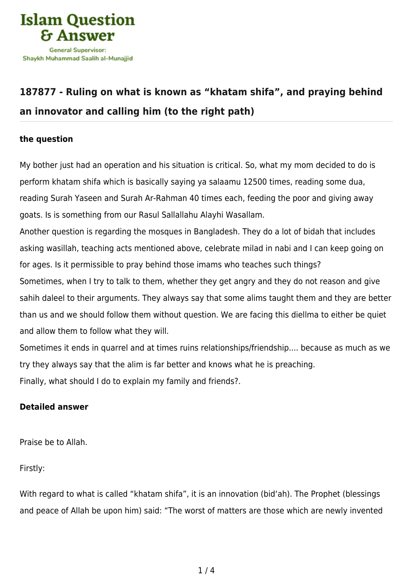

## **[187877 - Ruling on what is known as "khatam shifa", and praying behind](https://islamqa.com/en/answers/187877/ruling-on-what-is-known-as-khatam-shifa-and-praying-behind-an-innovator-and-calling-him-to-the-right-path) [an innovator and calling him \(to the right path\)](https://islamqa.com/en/answers/187877/ruling-on-what-is-known-as-khatam-shifa-and-praying-behind-an-innovator-and-calling-him-to-the-right-path)**

## **the question**

My bother just had an operation and his situation is critical. So, what my mom decided to do is perform khatam shifa which is basically saying ya salaamu 12500 times, reading some dua, reading Surah Yaseen and Surah Ar-Rahman 40 times each, feeding the poor and giving away goats. Is is something from our Rasul Sallallahu Alayhi Wasallam.

Another question is regarding the mosques in Bangladesh. They do a lot of bidah that includes asking wasillah, teaching acts mentioned above, celebrate milad in nabi and I can keep going on for ages. Is it permissible to pray behind those imams who teaches such things? Sometimes, when I try to talk to them, whether they get angry and they do not reason and give sahih daleel to their arguments. They always say that some alims taught them and they are better

than us and we should follow them without question. We are facing this diellma to either be quiet and allow them to follow what they will.

Sometimes it ends in quarrel and at times ruins relationships/friendship.... because as much as we try they always say that the alim is far better and knows what he is preaching. Finally, what should I do to explain my family and friends?.

## **Detailed answer**

Praise be to Allah.

Firstly:

With regard to what is called "khatam shifa", it is an innovation (bid'ah). The Prophet (blessings and peace of Allah be upon him) said: "The worst of matters are those which are newly invented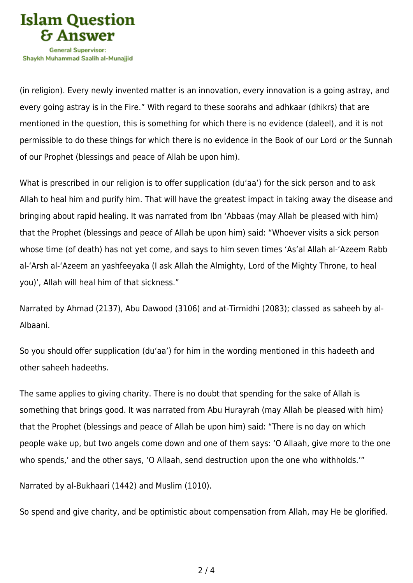

Shavkh Muhammad Saalih al-Munaiiid

(in religion). Every newly invented matter is an innovation, every innovation is a going astray, and every going astray is in the Fire." With regard to these soorahs and adhkaar (dhikrs) that are mentioned in the question, this is something for which there is no evidence (daleel), and it is not permissible to do these things for which there is no evidence in the Book of our Lord or the Sunnah of our Prophet (blessings and peace of Allah be upon him).

What is prescribed in our religion is to offer supplication (du'aa') for the sick person and to ask Allah to heal him and purify him. That will have the greatest impact in taking away the disease and bringing about rapid healing. It was narrated from Ibn 'Abbaas (may Allah be pleased with him) that the Prophet (blessings and peace of Allah be upon him) said: "Whoever visits a sick person whose time (of death) has not yet come, and says to him seven times 'As'al Allah al-'Azeem Rabb al-'Arsh al-'Azeem an yashfeeyaka (I ask Allah the Almighty, Lord of the Mighty Throne, to heal you)', Allah will heal him of that sickness."

Narrated by Ahmad (2137), Abu Dawood (3106) and at-Tirmidhi (2083); classed as saheeh by al-Albaani.

So you should offer supplication (du'aa') for him in the wording mentioned in this hadeeth and other saheeh hadeeths.

The same applies to giving charity. There is no doubt that spending for the sake of Allah is something that brings good. It was narrated from Abu Hurayrah (may Allah be pleased with him) that the Prophet (blessings and peace of Allah be upon him) said: "There is no day on which people wake up, but two angels come down and one of them says: 'O Allaah, give more to the one who spends,' and the other says, 'O Allaah, send destruction upon the one who withholds.'"

Narrated by al-Bukhaari (1442) and Muslim (1010).

So spend and give charity, and be optimistic about compensation from Allah, may He be glorified.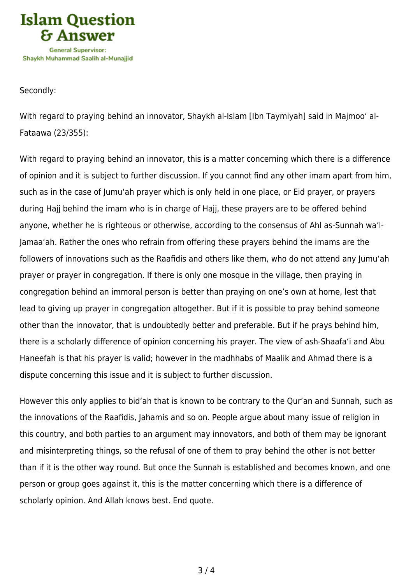

## Secondly:

With regard to praying behind an innovator, Shaykh al-Islam [Ibn Taymiyah] said in Majmoo' al-Fataawa (23/355):

With regard to praying behind an innovator, this is a matter concerning which there is a difference of opinion and it is subject to further discussion. If you cannot find any other imam apart from him, such as in the case of Jumu'ah prayer which is only held in one place, or Eid prayer, or prayers during Hajj behind the imam who is in charge of Hajj, these prayers are to be offered behind anyone, whether he is righteous or otherwise, according to the consensus of Ahl as-Sunnah wa'l-Jamaa'ah. Rather the ones who refrain from offering these prayers behind the imams are the followers of innovations such as the Raafidis and others like them, who do not attend any Jumu'ah prayer or prayer in congregation. If there is only one mosque in the village, then praying in congregation behind an immoral person is better than praying on one's own at home, lest that lead to giving up prayer in congregation altogether. But if it is possible to pray behind someone other than the innovator, that is undoubtedly better and preferable. But if he prays behind him, there is a scholarly difference of opinion concerning his prayer. The view of ash-Shaafa'i and Abu Haneefah is that his prayer is valid; however in the madhhabs of Maalik and Ahmad there is a dispute concerning this issue and it is subject to further discussion.

However this only applies to bid'ah that is known to be contrary to the Qur'an and Sunnah, such as the innovations of the Raafidis, Jahamis and so on. People argue about many issue of religion in this country, and both parties to an argument may innovators, and both of them may be ignorant and misinterpreting things, so the refusal of one of them to pray behind the other is not better than if it is the other way round. But once the Sunnah is established and becomes known, and one person or group goes against it, this is the matter concerning which there is a difference of scholarly opinion. And Allah knows best. End quote.